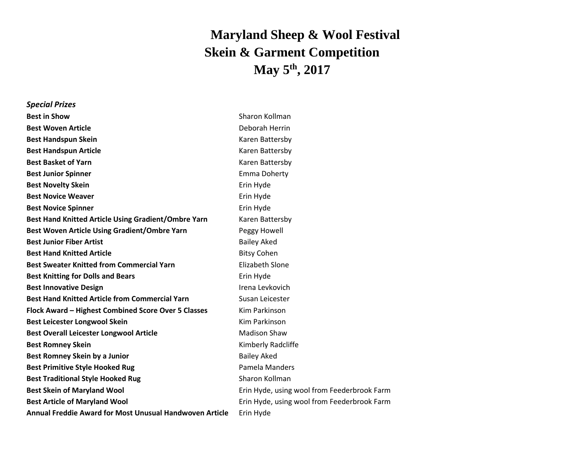## **Maryland Sheep & Wool Festival Skein & Garment Competition May 5 th , 2017**

| <b>Special Prizes</b>                                          |                                             |
|----------------------------------------------------------------|---------------------------------------------|
| <b>Best in Show</b>                                            | Sharon Kollman                              |
| <b>Best Woven Article</b>                                      | Deborah Herrin                              |
| <b>Best Handspun Skein</b>                                     | Karen Battersby                             |
| <b>Best Handspun Article</b>                                   | Karen Battersby                             |
| <b>Best Basket of Yarn</b>                                     | Karen Battersby                             |
| <b>Best Junior Spinner</b>                                     | Emma Doherty                                |
| <b>Best Novelty Skein</b>                                      | Erin Hyde                                   |
| <b>Best Novice Weaver</b>                                      | Erin Hyde                                   |
| <b>Best Novice Spinner</b>                                     | Erin Hyde                                   |
| Best Hand Knitted Article Using Gradient/Ombre Yarn            | Karen Battersby                             |
| Best Woven Article Using Gradient/Ombre Yarn                   | Peggy Howell                                |
| <b>Best Junior Fiber Artist</b>                                | <b>Bailey Aked</b>                          |
| <b>Best Hand Knitted Article</b>                               | <b>Bitsy Cohen</b>                          |
| <b>Best Sweater Knitted from Commercial Yarn</b>               | <b>Elizabeth Slone</b>                      |
| <b>Best Knitting for Dolls and Bears</b>                       | Erin Hyde                                   |
| <b>Best Innovative Design</b>                                  | Irena Levkovich                             |
| <b>Best Hand Knitted Article from Commercial Yarn</b>          | Susan Leicester                             |
| Flock Award - Highest Combined Score Over 5 Classes            | Kim Parkinson                               |
| <b>Best Leicester Longwool Skein</b>                           | Kim Parkinson                               |
| <b>Best Overall Leicester Longwool Article</b>                 | <b>Madison Shaw</b>                         |
| <b>Best Romney Skein</b>                                       | Kimberly Radcliffe                          |
| Best Romney Skein by a Junior                                  | <b>Bailey Aked</b>                          |
| <b>Best Primitive Style Hooked Rug</b>                         | Pamela Manders                              |
| <b>Best Traditional Style Hooked Rug</b>                       | Sharon Kollman                              |
| <b>Best Skein of Maryland Wool</b>                             | Erin Hyde, using wool from Feederbrook Farm |
| <b>Best Article of Maryland Wool</b>                           | Erin Hyde, using wool from Feederbrook Farm |
| <b>Annual Freddie Award for Most Unusual Handwoven Article</b> | Erin Hyde                                   |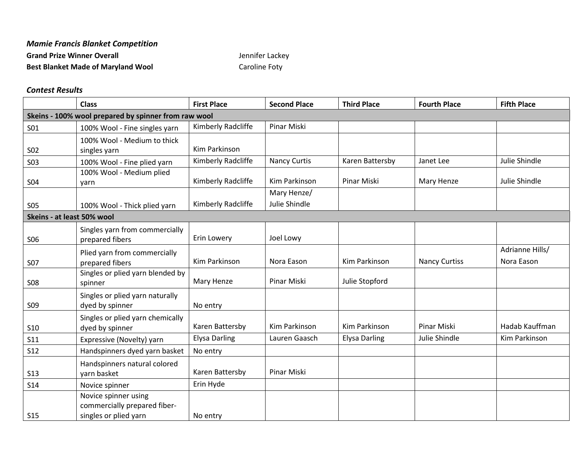| <b>Mamie Francis Blanket Competition</b>  |                 |
|-------------------------------------------|-----------------|
| <b>Grand Prize Winner Overall</b>         | Jennifer Lackey |
| <b>Best Blanket Made of Maryland Wool</b> | Caroline Foty   |

## *Contest Results*

|                                                      | <b>Class</b>                                                                  | <b>First Place</b>   | <b>Second Place</b>          | <b>Third Place</b>   | <b>Fourth Place</b>  | <b>Fifth Place</b>            |
|------------------------------------------------------|-------------------------------------------------------------------------------|----------------------|------------------------------|----------------------|----------------------|-------------------------------|
| Skeins - 100% wool prepared by spinner from raw wool |                                                                               |                      |                              |                      |                      |                               |
| S01                                                  | 100% Wool - Fine singles yarn                                                 | Kimberly Radcliffe   | Pinar Miski                  |                      |                      |                               |
| <b>SO2</b>                                           | 100% Wool - Medium to thick<br>singles yarn                                   | Kim Parkinson        |                              |                      |                      |                               |
| <b>SO3</b>                                           | 100% Wool - Fine plied yarn                                                   | Kimberly Radcliffe   | <b>Nancy Curtis</b>          | Karen Battersby      | Janet Lee            | Julie Shindle                 |
| S04                                                  | 100% Wool - Medium plied<br>yarn                                              | Kimberly Radcliffe   | Kim Parkinson                | Pinar Miski          | Mary Henze           | Julie Shindle                 |
| <b>S05</b>                                           | 100% Wool - Thick plied yarn                                                  | Kimberly Radcliffe   | Mary Henze/<br>Julie Shindle |                      |                      |                               |
|                                                      | Skeins - at least 50% wool                                                    |                      |                              |                      |                      |                               |
| <b>SO6</b>                                           | Singles yarn from commercially<br>prepared fibers                             | Erin Lowery          | Joel Lowy                    |                      |                      |                               |
| <b>S07</b>                                           | Plied yarn from commercially<br>prepared fibers                               | Kim Parkinson        | Nora Eason                   | Kim Parkinson        | <b>Nancy Curtiss</b> | Adrianne Hills/<br>Nora Eason |
| <b>S08</b>                                           | Singles or plied yarn blended by<br>spinner                                   | Mary Henze           | Pinar Miski                  | Julie Stopford       |                      |                               |
| <b>S09</b>                                           | Singles or plied yarn naturally<br>dyed by spinner                            | No entry             |                              |                      |                      |                               |
| <b>S10</b>                                           | Singles or plied yarn chemically<br>dyed by spinner                           | Karen Battersby      | Kim Parkinson                | Kim Parkinson        | Pinar Miski          | Hadab Kauffman                |
| S11                                                  | Expressive (Novelty) yarn                                                     | <b>Elysa Darling</b> | Lauren Gaasch                | <b>Elysa Darling</b> | Julie Shindle        | Kim Parkinson                 |
| <b>S12</b>                                           | Handspinners dyed yarn basket                                                 | No entry             |                              |                      |                      |                               |
| <b>S13</b>                                           | Handspinners natural colored<br>yarn basket                                   | Karen Battersby      | Pinar Miski                  |                      |                      |                               |
| <b>S14</b>                                           | Novice spinner                                                                | Erin Hyde            |                              |                      |                      |                               |
| <b>S15</b>                                           | Novice spinner using<br>commercially prepared fiber-<br>singles or plied yarn | No entry             |                              |                      |                      |                               |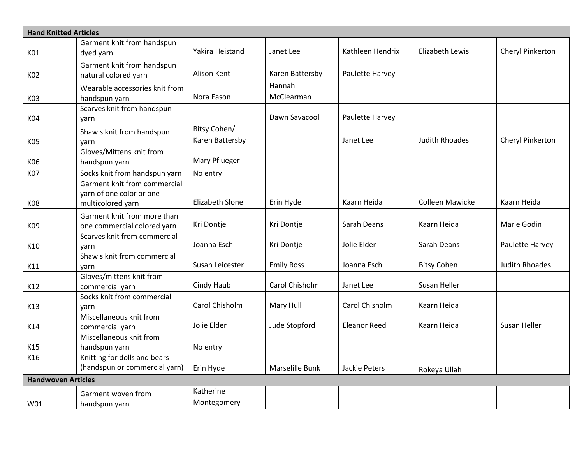| <b>Hand Knitted Articles</b> |                                                               |                        |                   |                     |                        |                       |
|------------------------------|---------------------------------------------------------------|------------------------|-------------------|---------------------|------------------------|-----------------------|
|                              | Garment knit from handspun                                    |                        |                   |                     |                        |                       |
| K01                          | dyed yarn                                                     | Yakira Heistand        | Janet Lee         | Kathleen Hendrix    | Elizabeth Lewis        | Cheryl Pinkerton      |
|                              | Garment knit from handspun                                    |                        |                   |                     |                        |                       |
| K02                          | natural colored yarn                                          | Alison Kent            | Karen Battersby   | Paulette Harvey     |                        |                       |
|                              | Wearable accessories knit from                                |                        | Hannah            |                     |                        |                       |
| K03                          | handspun yarn                                                 | Nora Eason             | McClearman        |                     |                        |                       |
|                              | Scarves knit from handspun                                    |                        |                   |                     |                        |                       |
| K04                          | yarn                                                          |                        | Dawn Savacool     | Paulette Harvey     |                        |                       |
|                              | Shawls knit from handspun                                     | Bitsy Cohen/           |                   |                     |                        |                       |
| K05                          | yarn                                                          | Karen Battersby        |                   | Janet Lee           | <b>Judith Rhoades</b>  | Cheryl Pinkerton      |
|                              | Gloves/Mittens knit from                                      |                        |                   |                     |                        |                       |
| K06                          | handspun yarn                                                 | Mary Pflueger          |                   |                     |                        |                       |
| K07                          | Socks knit from handspun yarn                                 | No entry               |                   |                     |                        |                       |
|                              | Garment knit from commercial                                  |                        |                   |                     |                        |                       |
|                              | yarn of one color or one                                      |                        |                   |                     |                        |                       |
| K08                          | multicolored yarn                                             | <b>Elizabeth Slone</b> | Erin Hyde         | Kaarn Heida         | <b>Colleen Mawicke</b> | Kaarn Heida           |
|                              | Garment knit from more than                                   |                        |                   |                     |                        |                       |
| K09                          | one commercial colored yarn                                   | Kri Dontje             | Kri Dontje        | Sarah Deans         | Kaarn Heida            | Marie Godin           |
|                              | Scarves knit from commercial                                  |                        |                   |                     |                        |                       |
| K10                          | yarn                                                          | Joanna Esch            | Kri Dontje        | Jolie Elder         | Sarah Deans            | Paulette Harvey       |
|                              | Shawls knit from commercial                                   |                        |                   |                     |                        |                       |
| K11                          | varn                                                          | Susan Leicester        | <b>Emily Ross</b> | Joanna Esch         | <b>Bitsy Cohen</b>     | <b>Judith Rhoades</b> |
|                              | Gloves/mittens knit from                                      |                        |                   |                     |                        |                       |
| K12                          | commercial yarn                                               | Cindy Haub             | Carol Chisholm    | Janet Lee           | Susan Heller           |                       |
|                              | Socks knit from commercial                                    |                        |                   |                     |                        |                       |
| K13                          | yarn                                                          | Carol Chisholm         | Mary Hull         | Carol Chisholm      | Kaarn Heida            |                       |
|                              | Miscellaneous knit from                                       | Jolie Elder            | Jude Stopford     | <b>Eleanor Reed</b> | Kaarn Heida            | Susan Heller          |
| K14                          | commercial yarn                                               |                        |                   |                     |                        |                       |
|                              | Miscellaneous knit from                                       |                        |                   |                     |                        |                       |
| K15                          | handspun yarn                                                 | No entry               |                   |                     |                        |                       |
| K16                          | Knitting for dolls and bears<br>(handspun or commercial yarn) |                        |                   |                     |                        |                       |
|                              |                                                               | Erin Hyde              | Marselille Bunk   | Jackie Peters       | Rokeya Ullah           |                       |
| <b>Handwoven Articles</b>    |                                                               |                        |                   |                     |                        |                       |
|                              | Garment woven from                                            | Katherine              |                   |                     |                        |                       |
| W01                          | handspun yarn                                                 | Montegomery            |                   |                     |                        |                       |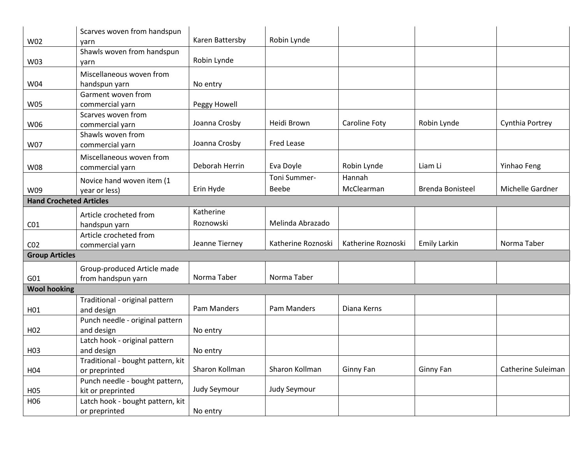|                                | Scarves woven from handspun       | Karen Battersby | Robin Lynde        |                    |                         |                    |
|--------------------------------|-----------------------------------|-----------------|--------------------|--------------------|-------------------------|--------------------|
| W02                            | yarn                              |                 |                    |                    |                         |                    |
|                                | Shawls woven from handspun        | Robin Lynde     |                    |                    |                         |                    |
| W03                            | yarn                              |                 |                    |                    |                         |                    |
|                                | Miscellaneous woven from          |                 |                    |                    |                         |                    |
| W04                            | handspun yarn                     | No entry        |                    |                    |                         |                    |
|                                | Garment woven from                |                 |                    |                    |                         |                    |
| <b>W05</b>                     | commercial yarn                   | Peggy Howell    |                    |                    |                         |                    |
|                                | Scarves woven from                |                 | Heidi Brown        |                    |                         |                    |
| W06                            | commercial yarn                   | Joanna Crosby   |                    | Caroline Foty      | Robin Lynde             | Cynthia Portrey    |
|                                | Shawls woven from                 |                 | <b>Fred Lease</b>  |                    |                         |                    |
| W07                            | commercial yarn                   | Joanna Crosby   |                    |                    |                         |                    |
|                                | Miscellaneous woven from          |                 |                    |                    |                         |                    |
| W08                            | commercial yarn                   | Deborah Herrin  | Eva Doyle          | Robin Lynde        | Liam Li                 | Yinhao Feng        |
|                                | Novice hand woven item (1         |                 | Toni Summer-       | Hannah             |                         |                    |
| W09                            | year or less)                     | Erin Hyde       | Beebe              | McClearman         | <b>Brenda Bonisteel</b> | Michelle Gardner   |
| <b>Hand Crocheted Articles</b> |                                   |                 |                    |                    |                         |                    |
|                                | Article crocheted from            | Katherine       |                    |                    |                         |                    |
| CO <sub>1</sub>                | handspun yarn                     | Roznowski       | Melinda Abrazado   |                    |                         |                    |
|                                | Article crocheted from            |                 |                    |                    |                         |                    |
| CO <sub>2</sub>                | commercial yarn                   | Jeanne Tierney  | Katherine Roznoski | Katherine Roznoski | <b>Emily Larkin</b>     | Norma Taber        |
| <b>Group Articles</b>          |                                   |                 |                    |                    |                         |                    |
|                                |                                   |                 |                    |                    |                         |                    |
|                                | Group-produced Article made       |                 |                    |                    |                         |                    |
| G01                            | from handspun yarn                | Norma Taber     | Norma Taber        |                    |                         |                    |
| <b>Wool hooking</b>            |                                   |                 |                    |                    |                         |                    |
|                                | Traditional - original pattern    |                 |                    |                    |                         |                    |
| H <sub>01</sub>                | and design                        | Pam Manders     | Pam Manders        | Diana Kerns        |                         |                    |
|                                | Punch needle - original pattern   |                 |                    |                    |                         |                    |
| H <sub>02</sub>                | and design                        | No entry        |                    |                    |                         |                    |
|                                | Latch hook - original pattern     |                 |                    |                    |                         |                    |
| H <sub>0</sub> 3               | and design                        | No entry        |                    |                    |                         |                    |
|                                | Traditional - bought pattern, kit |                 |                    |                    |                         |                    |
| H <sub>04</sub>                | or preprinted                     | Sharon Kollman  | Sharon Kollman     | Ginny Fan          | Ginny Fan               | Catherine Suleiman |
|                                | Punch needle - bought pattern,    |                 |                    |                    |                         |                    |
| H05                            | kit or preprinted                 | Judy Seymour    | Judy Seymour       |                    |                         |                    |
| H06                            | Latch hook - bought pattern, kit  |                 |                    |                    |                         |                    |
|                                | or preprinted                     | No entry        |                    |                    |                         |                    |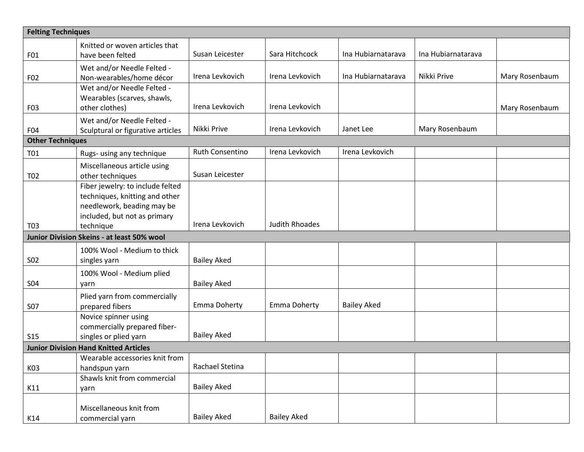| <b>Felting Techniques</b>                    |                                                                                                                                               |                     |                       |                    |                    |                |
|----------------------------------------------|-----------------------------------------------------------------------------------------------------------------------------------------------|---------------------|-----------------------|--------------------|--------------------|----------------|
| F01                                          | Knitted or woven articles that<br>have been felted                                                                                            | Susan Leicester     | Sara Hitchcock        | Ina Hubiarnatarava | Ina Hubiarnatarava |                |
| F02                                          | Wet and/or Needle Felted -<br>Non-wearables/home décor                                                                                        | Irena Levkovich     | Irena Levkovich       | Ina Hubiarnatarava | Nikki Prive        | Mary Rosenbaum |
| F03                                          | Wet and/or Needle Felted -<br>Wearables (scarves, shawls,<br>other clothes)                                                                   | Irena Levkovich     | Irena Levkovich       |                    |                    | Mary Rosenbaum |
| F04                                          | Wet and/or Needle Felted -<br>Sculptural or figurative articles                                                                               | Nikki Prive         | Irena Levkovich       | Janet Lee          | Mary Rosenbaum     |                |
| <b>Other Techniques</b>                      |                                                                                                                                               |                     |                       |                    |                    |                |
| T01                                          | Rugs- using any technique                                                                                                                     | Ruth Consentino     | Irena Levkovich       | Irena Levkovich    |                    |                |
| T <sub>0</sub> 2                             | Miscellaneous article using<br>other techniques                                                                                               | Susan Leicester     |                       |                    |                    |                |
| T <sub>0</sub> 3                             | Fiber jewelry: to include felted<br>techniques, knitting and other<br>needlework, beading may be<br>included, but not as primary<br>technique | Irena Levkovich     | <b>Judith Rhoades</b> |                    |                    |                |
|                                              | Junior Division Skeins - at least 50% wool                                                                                                    |                     |                       |                    |                    |                |
| <b>SO2</b>                                   | 100% Wool - Medium to thick<br>singles yarn                                                                                                   | <b>Bailey Aked</b>  |                       |                    |                    |                |
| <b>S04</b>                                   | 100% Wool - Medium plied<br>yarn                                                                                                              | <b>Bailey Aked</b>  |                       |                    |                    |                |
| <b>S07</b>                                   | Plied yarn from commercially<br>prepared fibers                                                                                               | <b>Emma Doherty</b> | Emma Doherty          | <b>Bailey Aked</b> |                    |                |
| <b>S15</b>                                   | Novice spinner using<br>commercially prepared fiber-<br>singles or plied yarn                                                                 | <b>Bailey Aked</b>  |                       |                    |                    |                |
| <b>Junior Division Hand Knitted Articles</b> |                                                                                                                                               |                     |                       |                    |                    |                |
| K03                                          | $\sqrt{\phantom{a}}$ Wearable accessories knit from<br>handspun yarn                                                                          | Rachael Stetina     |                       |                    |                    |                |
| K11                                          | Shawls knit from commercial<br>yarn                                                                                                           | <b>Bailey Aked</b>  |                       |                    |                    |                |
| K14                                          | Miscellaneous knit from<br>commercial yarn                                                                                                    | <b>Bailey Aked</b>  | <b>Bailey Aked</b>    |                    |                    |                |